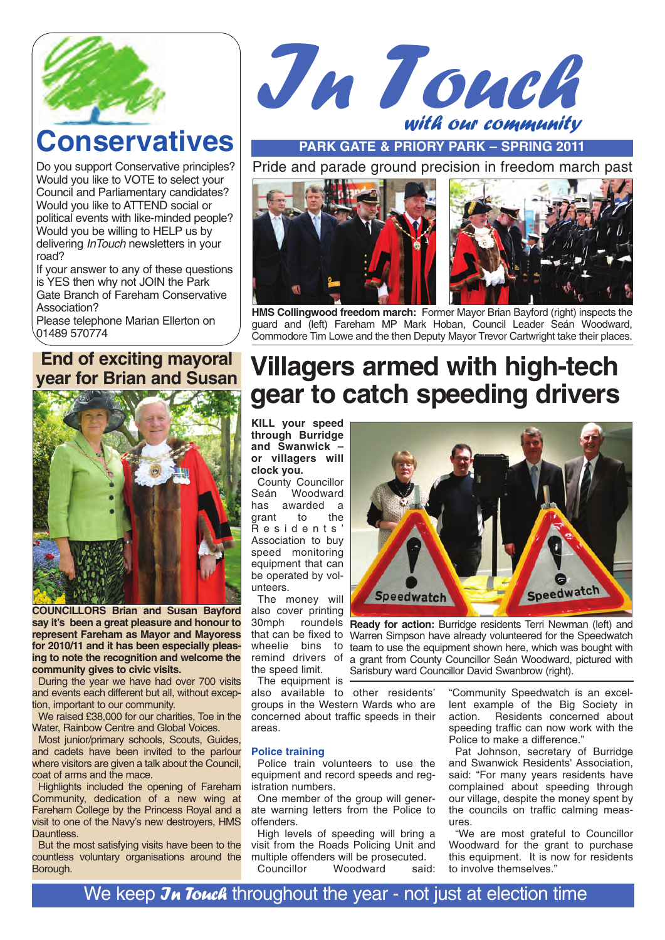

# **Conservatives**

Do you support Conservative principles? Would you like to VOTE to select your Council and Parliamentary candidates? Would you like to ATTEND social or political events with like-minded people? Would you be willing to HELP us by delivering *InTouch* newsletters in your road?

If your answer to any of these questions is YES then why not JOIN the Park Gate Branch of Fareham Conservative Association?

Please telephone Marian Ellerton on 01489 570774

### **End of exciting mayoral year for Brian and Susan**



**COUNCILLORS Brian and Susan Bayford say it's been a great pleasure and honour to represent Fareham as Mayor and Mayoress for 2010/11 and it has been especially pleasing to note the recognition and welcome the community gives to civic visits.**

During the year we have had over 700 visits and events each different but all, without exception, important to our community.

We raised £38,000 for our charities, Toe in the Water, Rainbow Centre and Global Voices.

Most junior/primary schools, Scouts, Guides, and cadets have been invited to the parlour where visitors are given a talk about the Council, coat of arms and the mace.

Highlights included the opening of Fareham Community, dedication of a new wing at Fareham College by the Princess Royal and a visit to one of the Navy's new destroyers, HMS Dauntless.

But the most satisfying visits have been to the countless voluntary organisations around the Borough.



**PARK GATE & PRIORY PARK – SPRING 2011**

Pride and parade ground precision in freedom march past



**HMS Collingwood freedom march:** Former Mayor Brian Bayford (right) inspects the guard and (left) Fareham MP Mark Hoban, Council Leader Seán Woodward, Commodore Tim Lowe and the then Deputy Mayor Trevor Cartwright take their places.

# **Villagers armed with high-tech gear to catch speeding drivers**

**KILL your speed through Burridge and Swanwick – or villagers will clock you.**

**County Councillor**<br>Seán **Woodward** Woodward has awarded a<br>grant to the grant Residents' Association to buy speed monitoring equipment that can be operated by volunteers.

The money will also cover printing remind drivers of the speed limit.

The equipment is also available to other residents'

groups in the Western Wards who are concerned about traffic speeds in their areas.

#### **Police training**

Police train volunteers to use the equipment and record speeds and registration numbers.

One member of the group will generate warning letters from the Police to offenders.

High levels of speeding will bring a visit from the Roads Policing Unit and multiple offenders will be prosecuted.<br>Councillor Woodward said: Woodward

Speedwatch **Speedwatch** 

30mph roundels **Ready for action:** Burridge residents Terri Newman (left) and that can be fixed to Warren Simpson have already volunteered for the Speedwatch wheelie bins to team to use the equipment shown here, which was bought with a grant from County Councillor Seán Woodward, pictured with Sarisbury ward Councillor David Swanbrow (right).

> "Community Speedwatch is an excellent example of the Big Society in Residents concerned about speeding traffic can now work with the Police to make a difference."

> Pat Johnson, secretary of Burridge and Swanwick Residents' Association, said: "For many years residents have complained about speeding through our village, despite the money spent by the councils on traffic calming measures.

> "We are most grateful to Councillor Woodward for the grant to purchase this equipment. It is now for residents to involve themselves."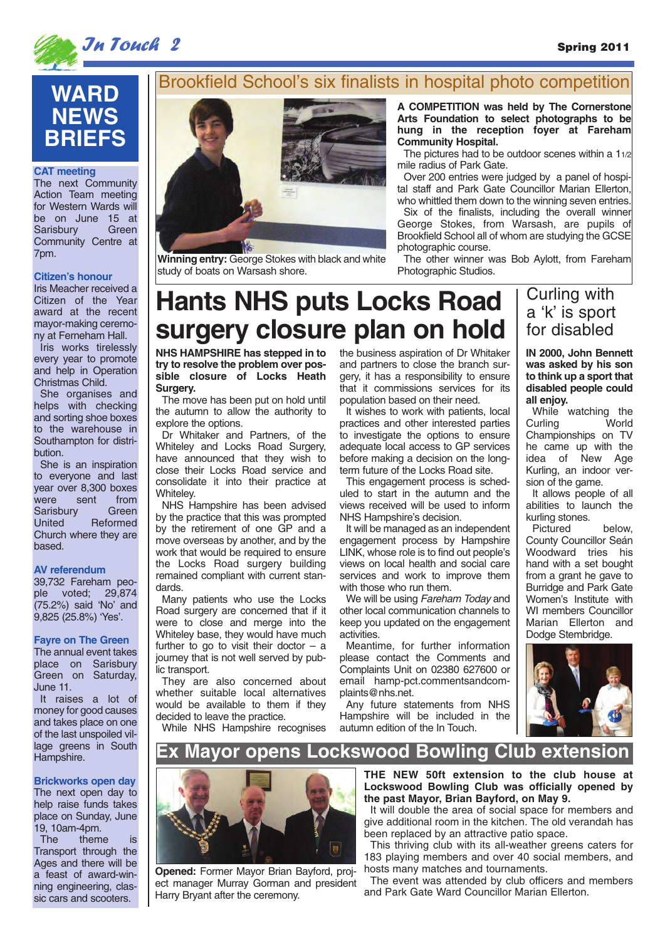

# **In Touch 2** Spring 2011

## **WARD NEWS BRIEFS**

#### **CAT meeting**

The next Community Action Team meeting for Western Wards will be on June 15 at<br>Sarisbury Green Sarisbury Community Centre at 7pm.

#### **Citizen's honour**

Iris Meacher received a Citizen of the Year award at the recent mayor-making ceremony at Ferneham Hall.

Iris works tirelessly every year to promote and help in Operation Christmas Child.

She organises and helps with checking and sorting shoe boxes to the warehouse in Southampton for distribution.

She is an inspiration to everyone and last year over 8,300 boxes were sent from<br>Sarisbury Green Sarisbury<br>United **Reformed** Church where they are based.

#### **AV referendum**

39,732 Fareham people voted; 29,874 (75.2%) said 'No' and 9,825 (25.8%) 'Yes'.

#### **Fayre on The Green**

The annual event takes place on Sarisbury Green on Saturday, June 11.

It raises a lot of money for good causes and takes place on one of the last unspoiled village greens in South Hampshire.

#### **Brickworks open day**

The next open day to help raise funds takes place on Sunday, June 19, 10am-4pm.

The theme is Transport through the Ages and there will be a feast of award-winning engineering, classic cars and scooters.

## Brookfield School's six finalists in hospital photo competition



**Winning entry:** George Stokes with black and white study of boats on Warsash shore.

**A COMPETITION was held by The Cornerstone Arts Foundation to select photographs to be hung in the reception foyer at Fareham Community Hospital.**

The pictures had to be outdoor scenes within a 11/2 mile radius of Park Gate.

Over 200 entries were judged by a panel of hospital staff and Park Gate Councillor Marian Ellerton, who whittled them down to the winning seven entries. Six of the finalists, including the overall winner George Stokes, from Warsash, are pupils of Brookfield School all of whom are studying the GCSE photographic course.

The other winner was Bob Aylott, from Fareham Photographic Studios.

# **Hants NHS puts Locks Road surgery closure plan on hold**

**NHS HAMPSHIRE has stepped in to try to resolve the problem over possible closure of Locks Heath Surgery.**

The move has been put on hold until the autumn to allow the authority to explore the options.

Dr Whitaker and Partners, of the Whiteley and Locks Road Surgery, have announced that they wish to close their Locks Road service and consolidate it into their practice at Whiteley.

NHS Hampshire has been advised by the practice that this was prompted by the retirement of one GP and a move overseas by another, and by the work that would be required to ensure the Locks Road surgery building remained compliant with current standards.

Many patients who use the Locks Road surgery are concerned that if it were to close and merge into the Whiteley base, they would have much further to go to visit their doctor  $-$  a journey that is not well served by public transport.

They are also concerned about whether suitable local alternatives would be available to them if they decided to leave the practice.

While NHS Hampshire recognises

the business aspiration of Dr Whitaker and partners to close the branch surgery, it has a responsibility to ensure that it commissions services for its population based on their need.

It wishes to work with patients, local practices and other interested parties to investigate the options to ensure adequate local access to GP services before making a decision on the longterm future of the Locks Road site.

This engagement process is scheduled to start in the autumn and the views received will be used to inform NHS Hampshire's decision.

It will be managed as an independent engagement process by Hampshire LINK, whose role is to find out people's views on local health and social care services and work to improve them with those who run them.

We will be using Fareham Today and other local communication channels to keep you updated on the engagement activities.

Meantime, for further information please contact the Comments and Complaints Unit on 02380 627600 or email hamp-pct.commentsandcomplaints@nhs.net.

Any future statements from NHS Hampshire will be included in the autumn edition of the In Touch.

### Curling with a 'k' is sport for disabled

**IN 2000, John Bennett was asked by his son to think up a sport that disabled people could all enjoy.** 

While watching the<br>Curling World Curling Championships on TV he came up with the idea of New Age Kurling, an indoor version of the game.

It allows people of all abilities to launch the kurling stones.

Pictured below, County Councillor Seán Woodward tries his hand with a set bought from a grant he gave to Burridge and Park Gate Women's Institute with WI members Councillor Marian Ellerton and Dodge Stembridge.



### **Ex Mayor opens Lockswood Bowling Club extension**



**Opened:** Former Mayor Brian Bayford, project manager Murray Gorman and president Harry Bryant after the ceremony.

**THE NEW 50ft extension to the club house at Lockswood Bowling Club was officially opened by the past Mayor, Brian Bayford, on May 9.**

It will double the area of social space for members and give additional room in the kitchen. The old verandah has been replaced by an attractive patio space.

This thriving club with its all-weather greens caters for 183 playing members and over 40 social members, and hosts many matches and tournaments.

The event was attended by club officers and members and Park Gate Ward Councillor Marian Ellerton.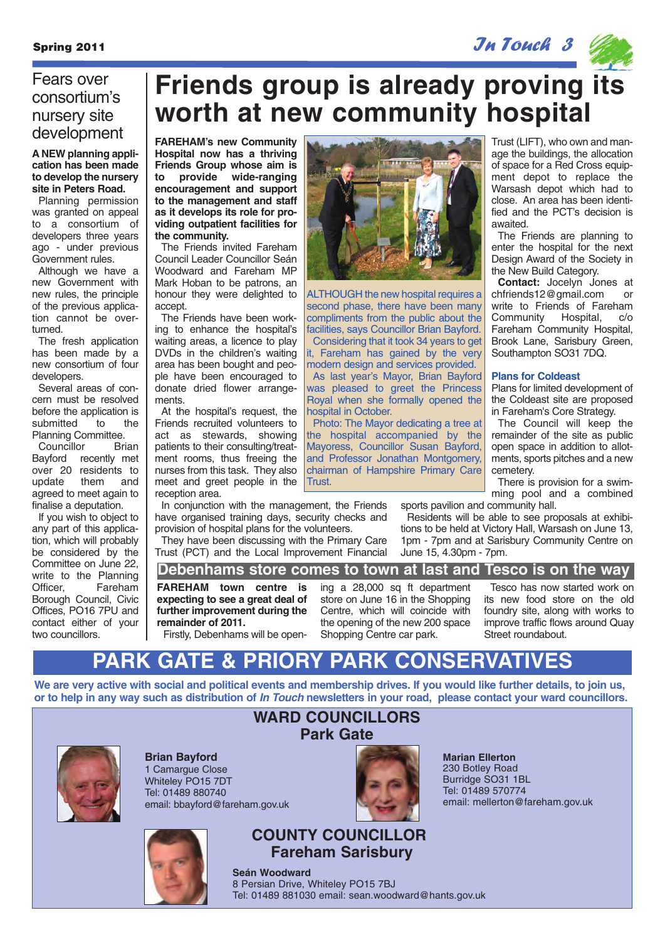Spring 2011 **In True 2011**  $\mathcal{J}_A$  Touch 3  $\mathcal{J}_A$ 



### Fears over consortium's nursery site development

#### **A NEW planning application has been made to develop the nursery site in Peters Road.**

Planning permission was granted on appeal to a consortium of developers three years ago - under previous Government rules.

Although we have a new Government with new rules, the principle of the previous application cannot be overturned.

The fresh application has been made by a new consortium of four developers.

Several areas of concern must be resolved before the application is submitted to the Planning Committee.

Councillor Brian Bayford recently met over 20 residents to update them and agreed to meet again to finalise a deputation.

If you wish to object to any part of this application, which will probably be considered by the Committee on June 22, write to the Planning<br>Officer. **Eareham** Fareham Borough Council, Civic Offices, PO16 7PU and contact either of your two councillors.

# **Friends group is already proving its worth at new community hospital**

ALTHOUGH the new hospital requires a second phase, there have been many compliments from the public about the facilities, says Councillor Brian Bayford. Considering that it took 34 years to get it, Fareham has gained by the very modern design and services provided. As last year's Mayor, Brian Bayford was pleased to greet the Princess Royal when she formally opened the

Photo: The Mayor dedicating a tree at the hospital accompanied by the Mayoress, Councillor Susan Bayford, and Professor Jonathan Montgomery, chairman of Hampshire Primary Care

**FAREHAM's new Community Hospital now has a thriving Friends Group whose aim is to provide wide-ranging encouragement and support to the management and staff as it develops its role for providing outpatient facilities for the community.**

The Friends invited Fareham Council Leader Councillor Seán Woodward and Fareham MP Mark Hoban to be patrons, an honour they were delighted to accept.

The Friends have been working to enhance the hospital's waiting areas, a licence to play DVDs in the children's waiting area has been bought and people have been encouraged to donate dried flower arrangements.

At the hospital's request, the Friends recruited volunteers to act as stewards, showing patients to their consulting/treatment rooms, thus freeing the nurses from this task. They also meet and greet people in the reception area.

In conjunction with the management, the Friends have organised training days, security checks and provision of hospital plans for the volunteers. They have been discussing with the Primary Care

Trust (PCT) and the Local Improvement Financial

Trust (LIFT), who own and manage the buildings, the allocation of space for a Red Cross equipment depot to replace the Warsash depot which had to close. An area has been identified and the PCT's decision is awaited.

The Friends are planning to enter the hospital for the next Design Award of the Society in the New Build Category.

**Contact:** Jocelyn Jones at chfriends12@gmail.com or write to Friends of Fareham Community Hospital, c/o Fareham Community Hospital, Brook Lane, Sarisbury Green, Southampton SO31 7DQ.

#### **Plans for Coldeast**

Plans for limited development of the Coldeast site are proposed in Fareham's Core Strategy.

The Council will keep the remainder of the site as public open space in addition to allotments, sports pitches and a new cemetery.

There is provision for a swimming pool and a combined sports pavilion and community hall.

Residents will be able to see proposals at exhibitions to be held at Victory Hall, Warsash on June 13, 1pm - 7pm and at Sarisbury Community Centre on June 15, 4.30pm - 7pm.

### **Debenhams store comes to town at last and Tesco is on the way**

hospital in October.

Trust.

**FAREHAM town centre is expecting to see a great deal of further improvement during the remainder of 2011.** 

ing a 28,000 sq ft department store on June 16 in the Shopping Centre, which will coincide with the opening of the new 200 space Shopping Centre car park.

Tesco has now started work on its new food store on the old foundry site, along with works to improve traffic flows around Quay Street roundabout.

Firstly, Debenhams will be open-

## **PARK GATE & PRIORY PARK CONSERVATIVES**

**We are very active with social and political events and membership drives. If you would like further details, to join us, or to help in any way such as distribution of In Touch newsletters in your road, please contact your ward councillors.**



**Brian Bayford** 1 Camarque Close Whiteley PO15 7DT Tel: 01489 880740 email: bbayford@fareham.gov.uk



# **Park Gate**

**WARD COUNCILLORS**



**Marian Ellerton** 230 Botley Road Burridge SO31 1BL Tel: 01489 570774 email: mellerton@fareham.gov.uk

**COUNTY COUNCILLOR Fareham Sarisbury**

**Seán Woodward** 8 Persian Drive, Whiteley PO15 7BJ Tel: 01489 881030 email: sean.woodward@hants.gov.uk